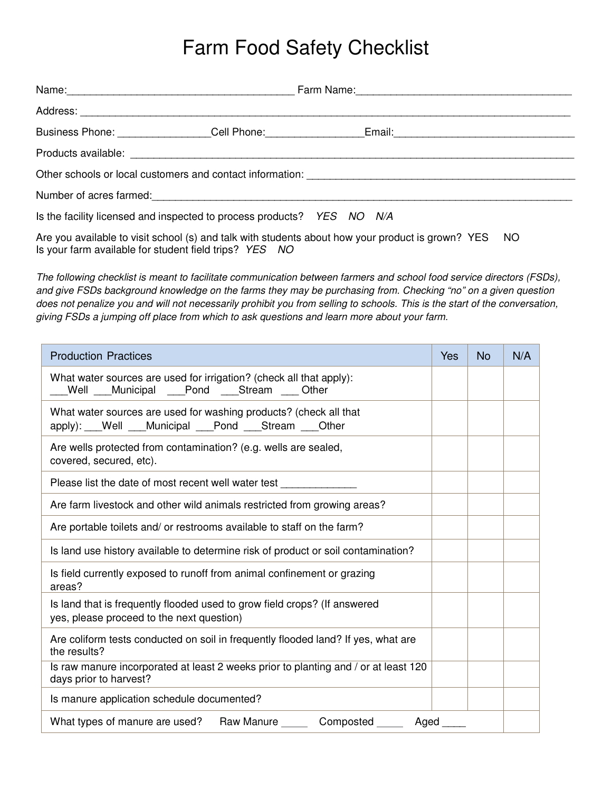## Farm Food Safety Checklist

| Business Phone: Cell Phone: Cell Phone: Email: Comparison Contains Phone: Cell Phone: Cell Phone: Comparison C                                                                                                                       |  |  |  |  |
|--------------------------------------------------------------------------------------------------------------------------------------------------------------------------------------------------------------------------------------|--|--|--|--|
|                                                                                                                                                                                                                                      |  |  |  |  |
| Other schools or local customers and contact information: Network and Schools or local customers and contact information:                                                                                                            |  |  |  |  |
| Number of acres farmed: <b>Mathematical Contract Contract Contract Contract Contract Contract Contract Contract Contract Contract Contract Contract Contract Contract Contract Contract Contract Contract Contract Contract Cont</b> |  |  |  |  |
| Is the facility licensed and inspected to process products? YES NO N/A                                                                                                                                                               |  |  |  |  |

Are you available to visit school (s) and talk with students about how your product is grown? YES NO Is your farm available for student field trips? YES NO

The following checklist is meant to facilitate communication between farmers and school food service directors (FSDs), and give FSDs background knowledge on the farms they may be purchasing from. Checking "no" on a given question does not penalize you and will not necessarily prohibit you from selling to schools. This is the start of the conversation, giving FSDs a jumping off place from which to ask questions and learn more about your farm.

| <b>Production Practices</b>                                                                                            | Yes | <b>No</b> | N/A |
|------------------------------------------------------------------------------------------------------------------------|-----|-----------|-----|
| What water sources are used for irrigation? (check all that apply):<br>Well Municipal Pond Stream Cher                 |     |           |     |
| What water sources are used for washing products? (check all that<br>apply): Well Municipal Pond Stream Other          |     |           |     |
| Are wells protected from contamination? (e.g. wells are sealed,<br>covered, secured, etc).                             |     |           |     |
| Please list the date of most recent well water test __________                                                         |     |           |     |
| Are farm livestock and other wild animals restricted from growing areas?                                               |     |           |     |
| Are portable toilets and/ or restrooms available to staff on the farm?                                                 |     |           |     |
| Is land use history available to determine risk of product or soil contamination?                                      |     |           |     |
| Is field currently exposed to runoff from animal confinement or grazing<br>areas?                                      |     |           |     |
| Is land that is frequently flooded used to grow field crops? (If answered<br>yes, please proceed to the next question) |     |           |     |
| Are coliform tests conducted on soil in frequently flooded land? If yes, what are<br>the results?                      |     |           |     |
| Is raw manure incorporated at least 2 weeks prior to planting and / or at least 120<br>days prior to harvest?          |     |           |     |
| Is manure application schedule documented?                                                                             |     |           |     |
| Raw Manure _______ Composted _______ Aged<br>What types of manure are used?                                            |     |           |     |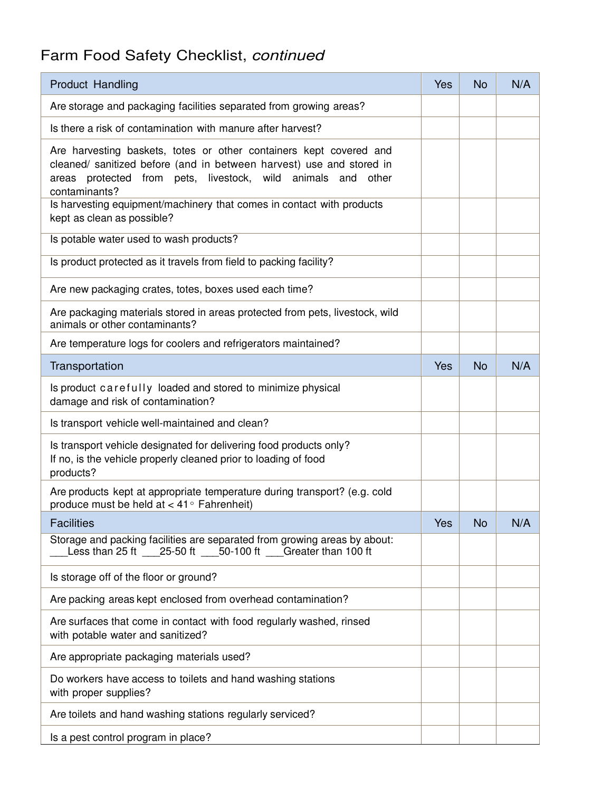## Farm Food Safety Checklist, continued

| <b>Product Handling</b>                                                                                                                                                                                                           |     | <b>No</b> | N/A |
|-----------------------------------------------------------------------------------------------------------------------------------------------------------------------------------------------------------------------------------|-----|-----------|-----|
| Are storage and packaging facilities separated from growing areas?                                                                                                                                                                |     |           |     |
| Is there a risk of contamination with manure after harvest?                                                                                                                                                                       |     |           |     |
| Are harvesting baskets, totes or other containers kept covered and<br>cleaned/ sanitized before (and in between harvest) use and stored in<br>protected from pets, livestock, wild<br>animals and other<br>areas<br>contaminants? |     |           |     |
| Is harvesting equipment/machinery that comes in contact with products<br>kept as clean as possible?                                                                                                                               |     |           |     |
| Is potable water used to wash products?                                                                                                                                                                                           |     |           |     |
| Is product protected as it travels from field to packing facility?                                                                                                                                                                |     |           |     |
| Are new packaging crates, totes, boxes used each time?                                                                                                                                                                            |     |           |     |
| Are packaging materials stored in areas protected from pets, livestock, wild<br>animals or other contaminants?                                                                                                                    |     |           |     |
| Are temperature logs for coolers and refrigerators maintained?                                                                                                                                                                    |     |           |     |
| Transportation                                                                                                                                                                                                                    | Yes | <b>No</b> | N/A |
| Is product carefully loaded and stored to minimize physical<br>damage and risk of contamination?                                                                                                                                  |     |           |     |
| Is transport vehicle well-maintained and clean?                                                                                                                                                                                   |     |           |     |
| Is transport vehicle designated for delivering food products only?<br>If no, is the vehicle properly cleaned prior to loading of food<br>products?                                                                                |     |           |     |
| Are products kept at appropriate temperature during transport? (e.g. cold<br>produce must be held at $<$ 41 $\circ$ Fahrenheit)                                                                                                   |     |           |     |
| <b>Facilities</b>                                                                                                                                                                                                                 | Yes | <b>No</b> | N/A |
| Storage and packing facilities are separated from growing areas by about:<br>Less than 25 ft 25-50 ft 50-100 ft Greater than 100 ft                                                                                               |     |           |     |
| Is storage off of the floor or ground?                                                                                                                                                                                            |     |           |     |
| Are packing areas kept enclosed from overhead contamination?                                                                                                                                                                      |     |           |     |
| Are surfaces that come in contact with food regularly washed, rinsed<br>with potable water and sanitized?                                                                                                                         |     |           |     |
| Are appropriate packaging materials used?                                                                                                                                                                                         |     |           |     |
| Do workers have access to toilets and hand washing stations<br>with proper supplies?                                                                                                                                              |     |           |     |
| Are toilets and hand washing stations regularly serviced?                                                                                                                                                                         |     |           |     |
| Is a pest control program in place?                                                                                                                                                                                               |     |           |     |